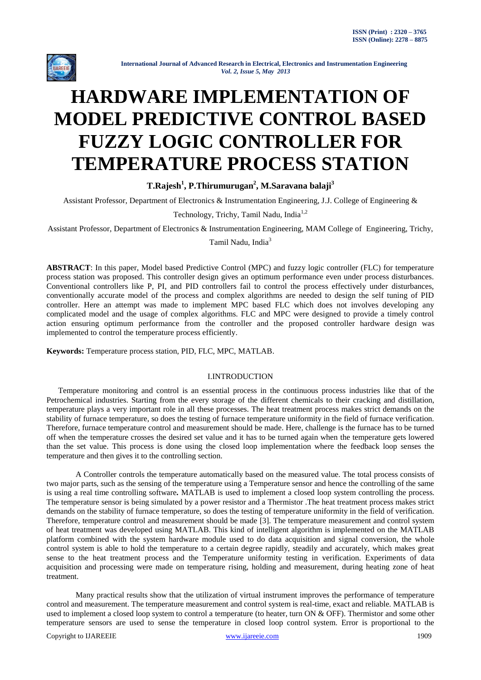

# **HARDWARE IMPLEMENTATION OF MODEL PREDICTIVE CONTROL BASED FUZZY LOGIC CONTROLLER FOR TEMPERATURE PROCESS STATION**

**T.Rajesh<sup>1</sup> , P.Thirumurugan<sup>2</sup> , M.Saravana balaji<sup>3</sup>**

Assistant Professor, Department of Electronics & Instrumentation Engineering, J.J. College of Engineering &

Technology, Trichy, Tamil Nadu, India<sup>1,2</sup>

Assistant Professor, Department of Electronics & Instrumentation Engineering, MAM College of Engineering, Trichy,

Tamil Nadu, India<sup>3</sup>

**ABSTRACT**: In this paper, Model based Predictive Control (MPC) and fuzzy logic controller (FLC) for temperature process station was proposed. This controller design gives an optimum performance even under process disturbances. Conventional controllers like P, PI, and PID controllers fail to control the process effectively under disturbances, conventionally accurate model of the process and complex algorithms are needed to design the self tuning of PID controller. Here an attempt was made to implement MPC based FLC which does not involves developing any complicated model and the usage of complex algorithms. FLC and MPC were designed to provide a timely control action ensuring optimum performance from the controller and the proposed controller hardware design was implemented to control the temperature process efficiently.

**Keywords:** Temperature process station, PID, FLC, MPC, MATLAB.

## I.INTRODUCTION

Temperature monitoring and control is an essential process in the continuous process industries like that of the Petrochemical industries. Starting from the every storage of the different chemicals to their cracking and distillation, temperature plays a very important role in all these processes. The heat treatment process makes strict demands on the stability of furnace temperature, so does the testing of furnace temperature uniformity in the field of furnace verification. Therefore, furnace temperature control and measurement should be made. Here, challenge is the furnace has to be turned off when the temperature crosses the desired set value and it has to be turned again when the temperature gets lowered than the set value. This process is done using the closed loop implementation where the feedback loop senses the temperature and then gives it to the controlling section.

A Controller controls the temperature automatically based on the measured value. The total process consists of two major parts, such as the sensing of the temperature using a Temperature sensor and hence the controlling of the same is using a real time controlling software*.* MATLAB is used to implement a closed loop system controlling the process. The temperature sensor is being simulated by a power resistor and a Thermistor .The heat treatment process makes strict demands on the stability of furnace temperature, so does the testing of temperature uniformity in the field of verification. Therefore, temperature control and measurement should be made [3]. The temperature measurement and control system of heat treatment was developed using MATLAB. This kind of intelligent algorithm is implemented on the MATLAB platform combined with the system hardware module used to do data acquisition and signal conversion, the whole control system is able to hold the temperature to a certain degree rapidly, steadily and accurately, which makes great sense to the heat treatment process and the Temperature uniformity testing in verification. Experiments of data acquisition and processing were made on temperature rising, holding and measurement, during heating zone of heat treatment.

Many practical results show that the utilization of virtual instrument improves the performance of temperature control and measurement. The temperature measurement and control system is real-time, exact and reliable. MATLAB is used to implement a closed loop system to control a temperature (to heater, turn ON & OFF). Thermistor and some other temperature sensors are used to sense the temperature in closed loop control system. Error is proportional to the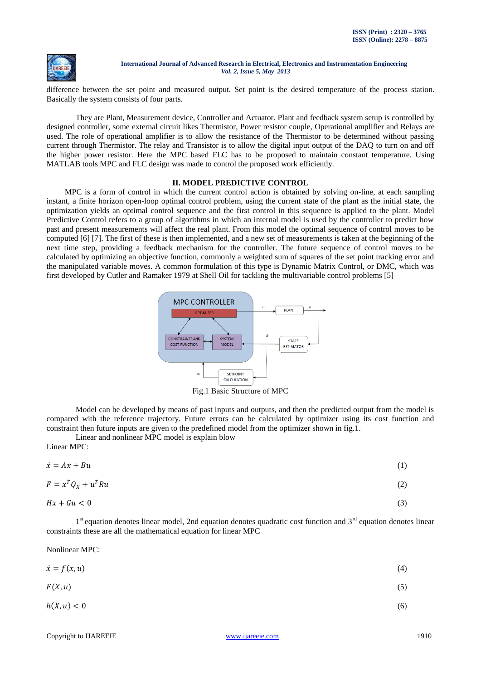

difference between the set point and measured output. Set point is the desired temperature of the process station. Basically the system consists of four parts.

They are Plant, Measurement device, Controller and Actuator. Plant and feedback system setup is controlled by designed controller, some external circuit likes Thermistor, Power resistor couple, Operational amplifier and Relays are used. The role of operational amplifier is to allow the resistance of the Thermistor to be determined without passing current through Thermistor. The relay and Transistor is to allow the digital input output of the DAQ to turn on and off the higher power resistor. Here the MPC based FLC has to be proposed to maintain constant temperature. Using MATLAB tools MPC and FLC design was made to control the proposed work efficiently.

## **II. MODEL PREDICTIVE CONTROL**

MPC is a form of control in which the current control action is obtained by solving on-line, at each sampling instant, a finite horizon open-loop optimal control problem, using the current state of the plant as the initial state, the optimization yields an optimal control sequence and the first control in this sequence is applied to the plant. Model Predictive Control refers to a group of algorithms in which an internal model is used by the controller to predict how past and present measurements will affect the real plant. From this model the optimal sequence of control moves to be computed [6] [7]. The first of these is then implemented, and a new set of measurements is taken at the beginning of the next time step, providing a feedback mechanism for the controller. The future sequence of control moves to be calculated by optimizing an objective function, commonly a weighted sum of squares of the set point tracking error and the manipulated variable moves. A common formulation of this type is Dynamic Matrix Control, or DMC, which was first developed by Cutler and Ramaker 1979 at Shell Oil for tackling the multivariable control problems [5]



Fig.1 Basic Structure of MPC

Model can be developed by means of past inputs and outputs, and then the predicted output from the model is compared with the reference trajectory. Future errors can be calculated by optimizer using its cost function and constraint then future inputs are given to the predefined model from the optimizer shown in fig.1.

Linear and nonlinear MPC model is explain blow

Linear MPC:

| $\dot{x} = Ax + Bu$ | $\left(1\right)$ |
|---------------------|------------------|
|                     |                  |

$$
F = x^T Q_X + u^T R u \tag{2}
$$

$$
Hx + Gu < 0 \tag{3}
$$

1<sup>st</sup> equation denotes linear model, 2nd equation denotes quadratic cost function and 3<sup>rd</sup> equation denotes linear constraints these are all the mathematical equation for linear MPC

Nonlinear MPC:

| $\dot{x} = f(x, u)$ | (4) |
|---------------------|-----|
|                     |     |

$$
F(X, u) \tag{5}
$$

$$
h(X, u) < 0 \tag{6}
$$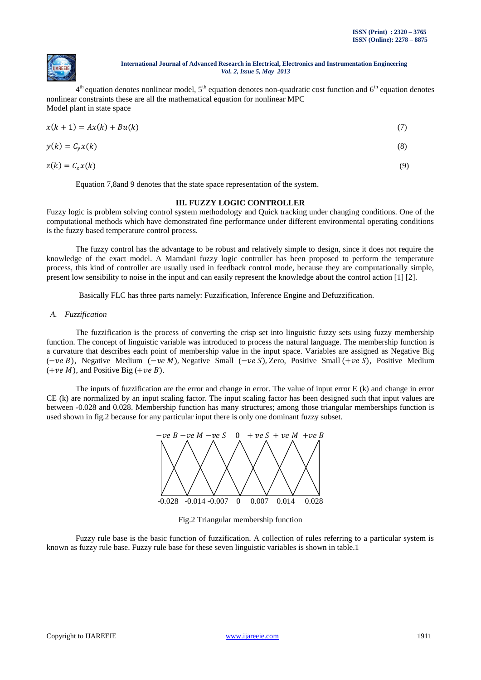

 $4<sup>th</sup>$  equation denotes nonlinear model,  $5<sup>th</sup>$  equation denotes non-quadratic cost function and  $6<sup>th</sup>$  equation denotes nonlinear constraints these are all the mathematical equation for nonlinear MPC Model plant in state space

$$
x(k + 1) = Ax(k) + Bu(k)
$$
  
\n
$$
y(k) = C_y x(k)
$$
  
\n
$$
z(k) = C_z x(k)
$$
  
\n(9)

Equation 7,8and 9 denotes that the state space representation of the system.

## **III. FUZZY LOGIC CONTROLLER**

Fuzzy logic is problem solving control system methodology and Quick tracking under changing conditions. One of the computational methods which have demonstrated fine performance under different environmental operating conditions is the fuzzy based temperature control process.

The fuzzy control has the advantage to be robust and relatively simple to design, since it does not require the knowledge of the exact model. A Mamdani fuzzy logic controller has been proposed to perform the temperature process, this kind of controller are usually used in feedback control mode, because they are computationally simple, present low sensibility to noise in the input and can easily represent the knowledge about the control action [1] [2].

Basically FLC has three parts namely: Fuzzification, Inference Engine and Defuzzification.

*A. Fuzzification*

The fuzzification is the process of converting the crisp set into linguistic fuzzy sets using fuzzy membership function. The concept of linguistic variable was introduced to process the natural language. The membership function is a curvature that describes each point of membership value in the input space. Variables are assigned as Negative Big  $(-ve B)$ , Negative Medium  $(-ve M)$ , Negative Small  $(-ve S)$ , Zero, Positive Small  $(+ve S)$ , Positive Medium  $(+ve M)$ , and Positive Big  $(+ve B)$ .

The inputs of fuzzification are the error and change in error. The value of input error E (k) and change in error CE (k) are normalized by an input scaling factor. The input scaling factor has been designed such that input values are between -0.028 and 0.028. Membership function has many structures; among those triangular memberships function is used shown in fig.2 because for any particular input there is only one dominant fuzzy subset.



Fig.2 Triangular membership function

Fuzzy rule base is the basic function of fuzzification. A collection of rules referring to a particular system is known as fuzzy rule base. Fuzzy rule base for these seven linguistic variables is shown in table.1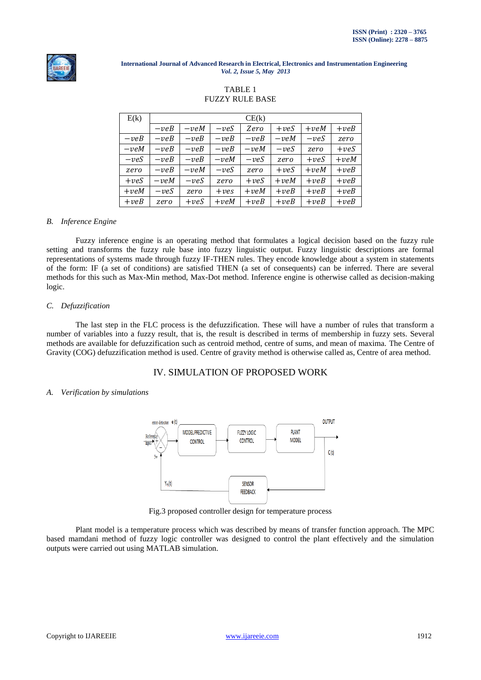

## TABLE 1 FUZZY RULE BASE

| E(k)   | CE(k)  |        |             |        |        |        |        |
|--------|--------|--------|-------------|--------|--------|--------|--------|
|        | $-veB$ | $-veM$ | $-veS$      | Zero   | $+veS$ | $+veM$ | $+veB$ |
| $-veB$ | $-veB$ | $-veB$ | $-veB$      | $-veB$ | $-veM$ | $-veS$ | zero   |
| $-veM$ | $-veB$ | $-veB$ | $-veB$      | $-veM$ | $-veS$ | zero   | $+veS$ |
| $-veS$ | $-veB$ | $-veB$ | $-veM$      | $-veS$ | zero   | $+veS$ | $+veM$ |
| zero   | $-veB$ | $-veM$ | $-veS$      | zero   | $+veS$ | $+veM$ | $+veB$ |
| $+veS$ | $-veM$ | $-veS$ | zero        | $+veS$ | $+veM$ | $+veB$ | $+veB$ |
| $+veM$ | $-veS$ | zero   | $+ \nu e s$ | $+veM$ | $+veB$ | $+veB$ | $+veB$ |
| $+veB$ | zero   | $+veS$ | $+veM$      | $+veB$ | $+veB$ | $+veB$ | $+veB$ |

#### *B. Inference Engine*

Fuzzy inference engine is an operating method that formulates a logical decision based on the fuzzy rule setting and transforms the fuzzy rule base into fuzzy linguistic output. Fuzzy linguistic descriptions are formal representations of systems made through fuzzy IF-THEN rules. They encode knowledge about a system in statements of the form: IF (a set of conditions) are satisfied THEN (a set of consequents) can be inferred. There are several methods for this such as Max-Min method, Max-Dot method. Inference engine is otherwise called as decision-making logic.

#### *C. Defuzzification*

The last step in the FLC process is the defuzzification. These will have a number of rules that transform a number of variables into a fuzzy result, that is, the result is described in terms of membership in fuzzy sets. Several methods are available for defuzzification such as centroid method, centre of sums, and mean of maxima. The Centre of Gravity (COG) defuzzification method is used. Centre of gravity method is otherwise called as, Centre of area method.

# IV. SIMULATION OF PROPOSED WORK

#### *A. Verification by simulations*



Fig.3 proposed controller design for temperature process

Plant model is a temperature process which was described by means of transfer function approach. The MPC based mamdani method of fuzzy logic controller was designed to control the plant effectively and the simulation outputs were carried out using MATLAB simulation.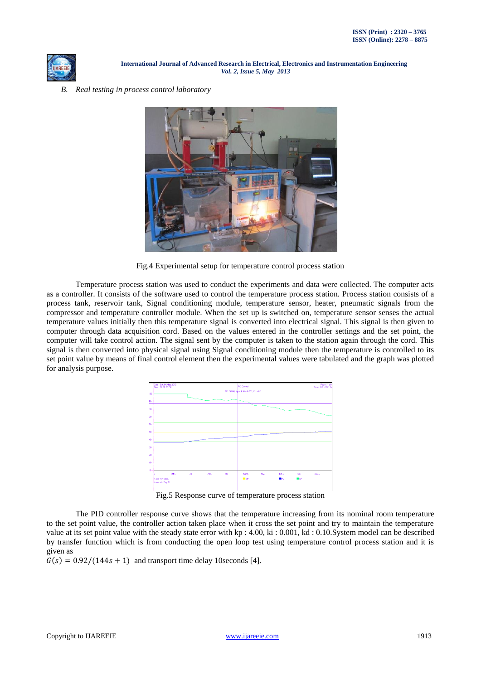

## *B. Real testing in process control laboratory*



Fig.4 Experimental setup for temperature control process station

Temperature process station was used to conduct the experiments and data were collected. The computer acts as a controller. It consists of the software used to control the temperature process station. Process station consists of a process tank, reservoir tank, Signal conditioning module, temperature sensor, heater, pneumatic signals from the compressor and temperature controller module. When the set up is switched on, temperature sensor senses the actual temperature values initially then this temperature signal is converted into electrical signal. This signal is then given to computer through data acquisition cord. Based on the values entered in the controller settings and the set point, the computer will take control action. The signal sent by the computer is taken to the station again through the cord. This signal is then converted into physical signal using Signal conditioning module then the temperature is controlled to its set point value by means of final control element then the experimental values were tabulated and the graph was plotted for analysis purpose.



Fig.5 Response curve of temperature process station

The PID controller response curve shows that the temperature increasing from its nominal room temperature to the set point value, the controller action taken place when it cross the set point and try to maintain the temperature value at its set point value with the steady state error with kp : 4.00, ki : 0.001, kd : 0.10.System model can be described by transfer function which is from conducting the open loop test using temperature control process station and it is given as

 $G(s) = 0.92/(144s + 1)$  and transport time delay 10seconds [4].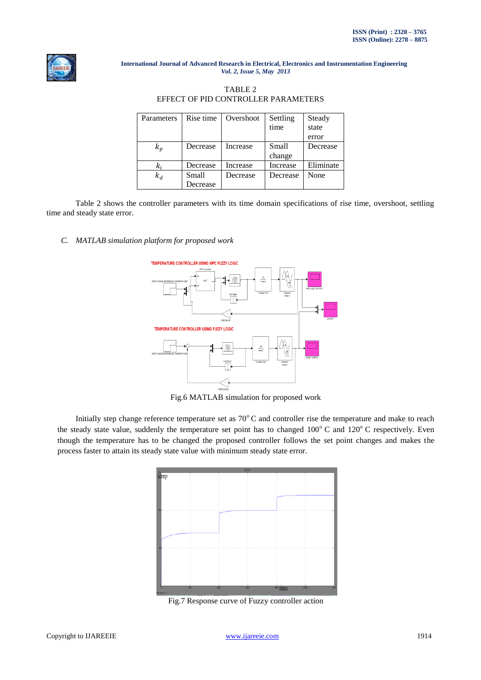

# TABLE 2 EFFECT OF PID CONTROLLER PARAMETERS

| Parameters | Rise time | Overshoot | Settling | Steady    |
|------------|-----------|-----------|----------|-----------|
|            |           |           | time     | state     |
|            |           |           |          | error     |
| $k_p$      | Decrease  | Increase  | Small    | Decrease  |
|            |           |           | change   |           |
| k,         | Decrease  | Increase  | Increase | Eliminate |
| $k_d$      | Small     | Decrease  | Decrease | None      |
|            | Decrease  |           |          |           |

Table 2 shows the controller parameters with its time domain specifications of rise time, overshoot, settling time and steady state error.

## *C. MATLAB simulation platform for proposed work*



Fig.6 MATLAB simulation for proposed work

Initially step change reference temperature set as  $70^{\circ}$ C and controller rise the temperature and make to reach the steady state value, suddenly the temperature set point has to changed  $100^{\circ}$  C and  $120^{\circ}$  C respectively. Even though the temperature has to be changed the proposed controller follows the set point changes and makes the process faster to attain its steady state value with minimum steady state error.



Fig.7 Response curve of Fuzzy controller action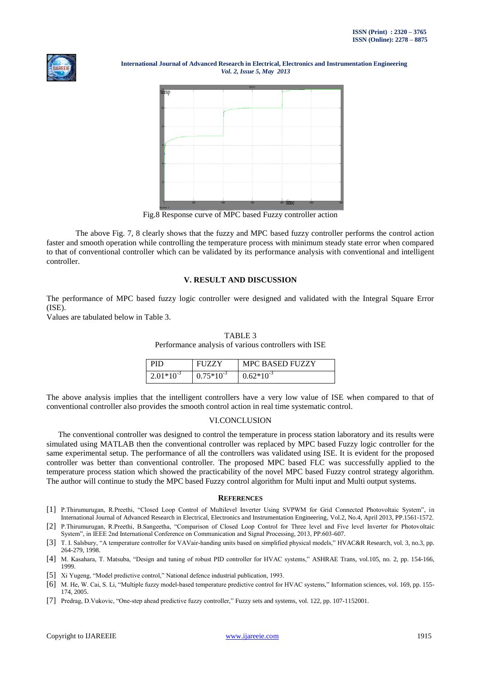



Fig.8 Response curve of MPC based Fuzzy controller action

The above Fig. 7, 8 clearly shows that the fuzzy and MPC based fuzzy controller performs the control action faster and smooth operation while controlling the temperature process with minimum steady state error when compared to that of conventional controller which can be validated by its performance analysis with conventional and intelligent controller.

## **V. RESULT AND DISCUSSION**

The performance of MPC based fuzzy logic controller were designed and validated with the Integral Square Error (ISE).

Values are tabulated below in Table 3.

#### TABLE 3

Performance analysis of various controllers with ISE

| PID                | <b>FUZZY</b>   | MPC BASED FUZZY |
|--------------------|----------------|-----------------|
| $\pm 2.01*10^{-3}$ | $0.75*10^{-3}$ | $0.62*10^{-3}$  |

The above analysis implies that the intelligent controllers have a very low value of ISE when compared to that of conventional controller also provides the smooth control action in real time systematic control.

## VI.CONCLUSION

The conventional controller was designed to control the temperature in process station laboratory and its results were simulated using MATLAB then the conventional controller was replaced by MPC based Fuzzy logic controller for the same experimental setup. The performance of all the controllers was validated using ISE. It is evident for the proposed controller was better than conventional controller. The proposed MPC based FLC was successfully applied to the temperature process station which showed the practicability of the novel MPC based Fuzzy control strategy algorithm. The author will continue to study the MPC based Fuzzy control algorithm for Multi input and Multi output systems.

#### **REFERENCES**

- [1] P.Thirumurugan, R.Preethi, "Closed Loop Control of Multilevel Inverter Using SVPWM for Grid Connected Photovoltaic System", in International Journal of Advanced Research in Electrical, Electronics and Instrumentation Engineering, Vol.2, No.4, April 2013, PP.1561-1572.
- [2] P.Thirumurugan, R.Preethi, B.Sangeetha, "Comparison of Closed Loop Control for Three level and Five level Inverter for Photovoltaic System", in IEEE 2nd International Conference on Communication and Signal Processing, 2013, PP.603-607.
- [3] T. I. Salsbury, "A temperature controller for VAVair-handing units based on simplified physical models," HVAC&R Research, vol. 3, no.3, pp. 264-279, 1998.
- [4] M. Kasahara, T. Matsuba, "Design and tuning of robust PID controller for HVAC systems," ASHRAE Trans, vol.105, no. 2, pp. 154-166, 1999.
- [5] Xi Yugeng, "Model predictive control," National defence industrial publication, 1993.
- [6] M. He, W. Cai, S. Li, "Multiple fuzzy model-based temperature predictive control for HVAC systems," Information sciences, vol. 169, pp. 155- 174, 2005.
- [7] Predrag, D.Vukovic, "One-step ahead predictive fuzzy controller," Fuzzy sets and systems, vol. 122, pp. 107-1152001.